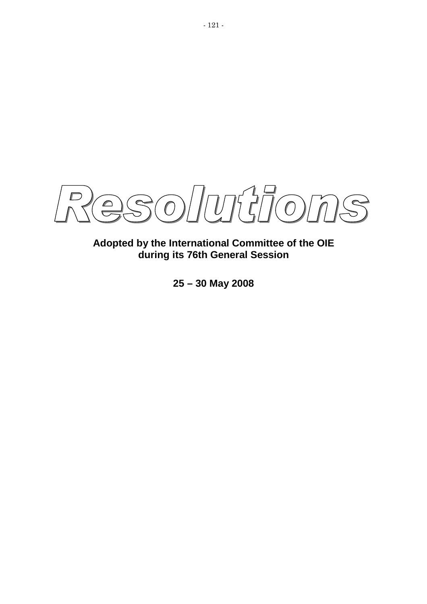$SO/10777077$  $\mathbb{S}$  $\bigcap$ 

**Adopted by the International Committee of the OIE during its 76th General Session** 

**25 – 30 May 2008**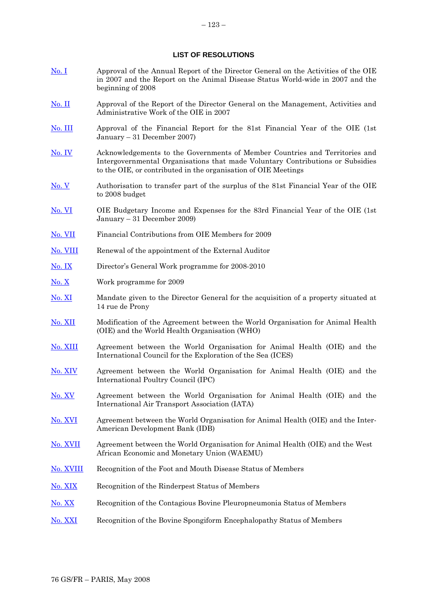### **LIST OF RESOLUTIONS**

- [No. I](#page-4-0) Approval of the Annual Report of the Director General on the Activities of the OIE in 2007 and the Report on the Animal Disease Status World-wide in 2007 and the beginning of 2008
- [No. II](#page-5-0) Approval of the Report of the Director General on the Management, Activities and Administrative Work of the OIE in 2007
- [No. III](#page-6-0) Approval of the Financial Report for the 81st Financial Year of the OIE (1st January – 31 December 2007)
- [No. IV](#page-7-0) Acknowledgements to the Governments of Member Countries and Territories and Intergovernmental Organisations that made Voluntary Contributions or Subsidies to the OIE, or contributed in the organisation of OIE Meetings
- No. V Authorisation to transfer part of the surplus of the 81st Financial Year of the OIE to 2008 budget
- No. VI OIE Budgetary Income and Expenses for the 83rd Financial Year of the OIE (1st January – 31 December 2009)
- No. VII Financial Contributions from OIE Members for 2009
- [No. VIII](#page-9-0) Renewal of the appointment of the External Auditor
- [No. IX](#page-10-0) Director's General Work programme for 2008-2010
- [No. X](#page-11-0) Work programme for 2009
- [No. XI](#page-12-0) Mandate given to the Director General for the acquisition of a property situated at 14 rue de Prony
- [No. XII](#page-27-0) Modification of the Agreement between the World Organisation for Animal Health (OIE) and the World Health Organisation (WHO)
- [No. XIII](#page-14-0) Agreement between the World Organisation for Animal Health (OIE) and the International Council for the Exploration of the Sea (ICES)
- [No. XIV](#page-15-0) Agreement between the World Organisation for Animal Health (OIE) and the International Poultry Council (IPC)
- [No. XV](#page-16-0) Agreement between the World Organisation for Animal Health (OIE) and the International Air Transport Association (IATA)
- [No. XVI](#page-17-0) Agreement between the World Organisation for Animal Health (OIE) and the Inter-American Development Bank (IDB)
- [No. XVII](#page-38-0) Agreement between the World Organisation for Animal Health (OIE) and the West African Economic and Monetary Union (WAEMU)
- [No. XVIII](#page-19-0) Recognition of the Foot and Mouth Disease Status of Members
- [No. XIX](#page-22-0) Recognition of the Rinderpest Status of Members
- [No. XX](#page-24-0) Recognition of the Contagious Bovine Pleuropneumonia Status of Members
- [No. XXI](#page-25-0) Recognition of the Bovine Spongiform Encephalopathy Status of Members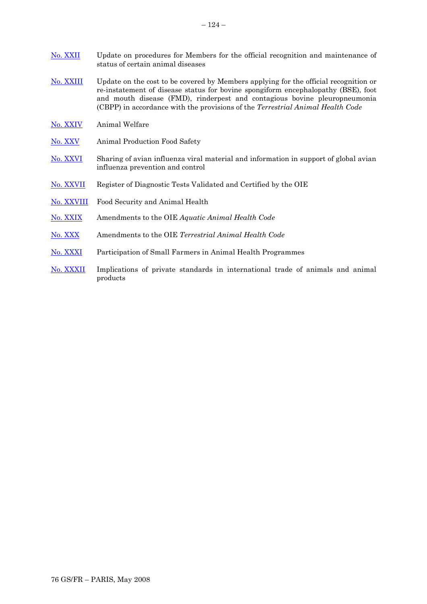- [No. XXIV](#page-32-0) Animal Welfare
- [No. XXV](#page-34-0) Animal Production Food Safety
- [No. XXVI](#page-36-0) Sharing of avian influenza viral material and information in support of global avian influenza prevention and control
- [No. XXVII](#page-38-0) Register of Diagnostic Tests Validated and Certified by the OIE
- [No. XXVIII](#page-40-0) Food Security and Animal Health
- [No. XXIX](#page-41-0) Amendments to the OIE *Aquatic Animal Health Code*
- [No. XXX](#page-42-0) Amendments to the OIE *Terrestrial Animal Health Code*
- [No. XXXI](#page-45-0) Participation of Small Farmers in Animal Health Programmes
- [No. XXXII](#page-47-0) Implications of private standards in international trade of animals and animal products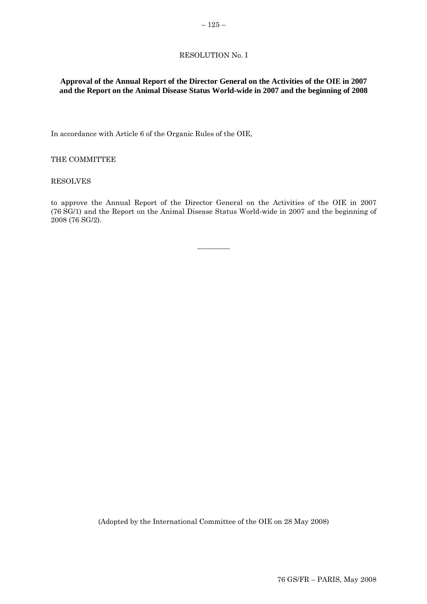### RESOLUTION No. I

# <span id="page-4-0"></span>**Approval of the Annual Report of the Director General on the Activities of the OIE in 2007 and the Report on the Animal Disease Status World-wide in 2007 and the beginning of 2008**

In accordance with Article 6 of the Organic Rules of the OIE,

### THE COMMITTEE

#### RESOLVES

to approve the Annual Report of the Director General on the Activities of the OIE in 2007 (76 SG/1) and the Report on the Animal Disease Status World-wide in 2007 and the beginning of 2008 (76 SG/2).

 $\overline{\phantom{a}}$   $\overline{\phantom{a}}$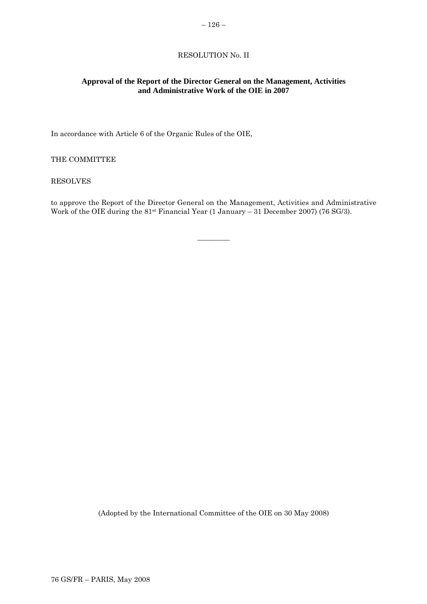# RESOLUTION No. II

### <span id="page-5-0"></span>**Approval of the Report of the Director General on the Management, Activities and Administrative Work of the OIE in 2007**

In accordance with Article 6 of the Organic Rules of the OIE,

### THE COMMITTEE

### RESOLVES

to approve the Report of the Director General on the Management, Activities and Administrative Work of the OIE during the 81st Financial Year (1 January – 31 December 2007) (76 SG/3).

 $\overline{\phantom{a}}$   $\overline{\phantom{a}}$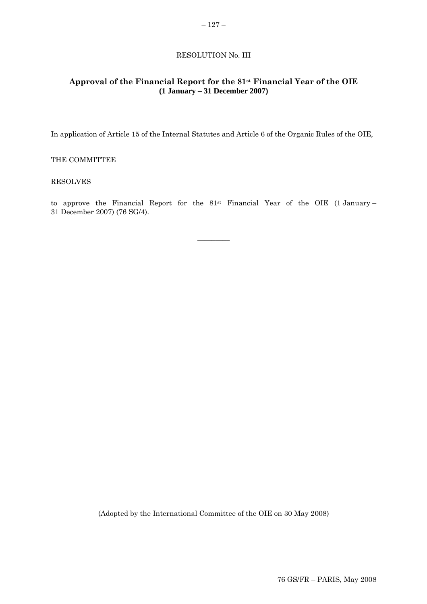### RESOLUTION No. III

# <span id="page-6-0"></span>**Approval of the Financial Report for the 81st Financial Year of the OIE (1 January – 31 December 2007)**

In application of Article 15 of the Internal Statutes and Article 6 of the Organic Rules of the OIE,

### THE COMMITTEE

### RESOLVES

to approve the Financial Report for the  $81^{st}$  Financial Year of the OIE (1 January – 31 December 2007) (76 SG/4).

 $\overline{\phantom{a}}$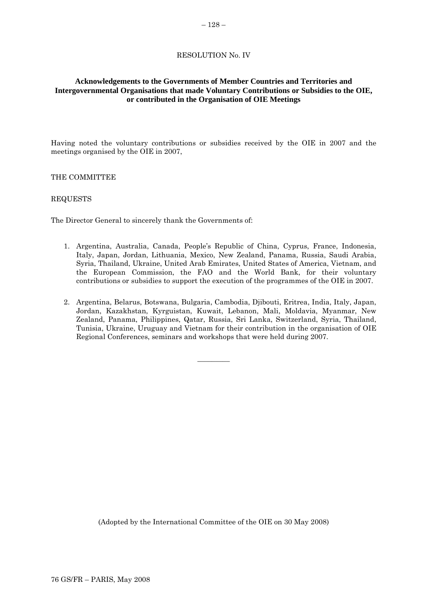### RESOLUTION No. IV

# <span id="page-7-0"></span>**Acknowledgements to the Governments of Member Countries and Territories and Intergovernmental Organisations that made Voluntary Contributions or Subsidies to the OIE, or contributed in the Organisation of OIE Meetings**

Having noted the voluntary contributions or subsidies received by the OIE in 2007 and the meetings organised by the OIE in 2007,

### THE COMMITTEE

### REQUESTS

The Director General to sincerely thank the Governments of:

- 1. Argentina, Australia, Canada, People's Republic of China, Cyprus, France, Indonesia, Italy, Japan, Jordan, Lithuania, Mexico, New Zealand, Panama, Russia, Saudi Arabia, Syria, Thailand, Ukraine, United Arab Emirates, United States of America, Vietnam, and the European Commission, the FAO and the World Bank, for their voluntary contributions or subsidies to support the execution of the programmes of the OIE in 2007.
- 2. Argentina, Belarus, Botswana, Bulgaria, Cambodia, Djibouti, Eritrea, India, Italy, Japan, Jordan, Kazakhstan, Kyrguistan, Kuwait, Lebanon, Mali, Moldavia, Myanmar, New Zealand, Panama, Philippines, Qatar, Russia, Sri Lanka, Switzerland, Syria, Thailand, Tunisia, Ukraine, Uruguay and Vietnam for their contribution in the organisation of OIE Regional Conferences, seminars and workshops that were held during 2007.

 $\overline{\phantom{a}}$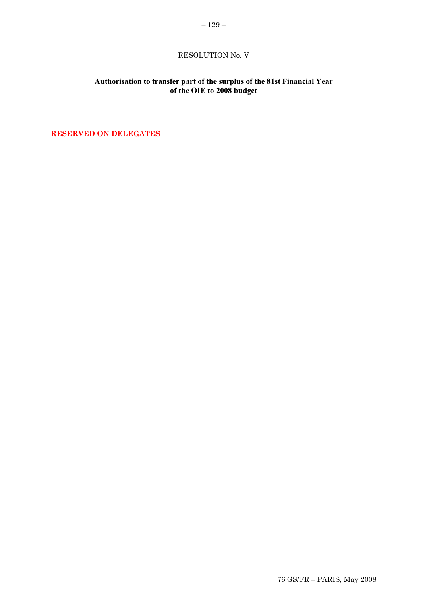# **Authorisation to transfer part of the surplus of the 81st Financial Year of the OIE to 2008 budget**

**RESERVED ON DELEGATES**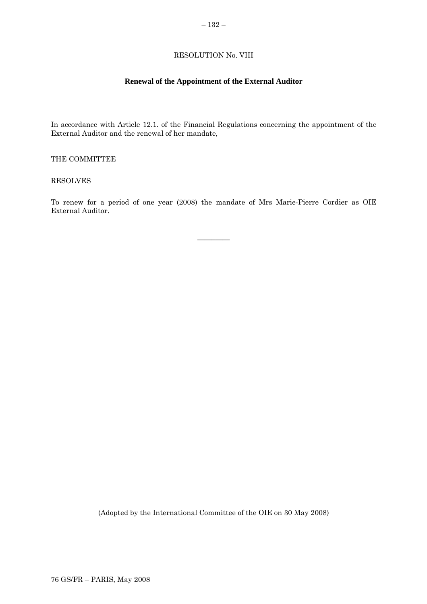# RESOLUTION No. VIII

# **Renewal of the Appointment of the External Auditor**

<span id="page-9-0"></span>In accordance with Article 12.1. of the Financial Regulations concerning the appointment of the External Auditor and the renewal of her mandate,

### THE COMMITTEE

### RESOLVES

To renew for a period of one year (2008) the mandate of Mrs Marie-Pierre Cordier as OIE External Auditor.

 $\overline{\phantom{a}}$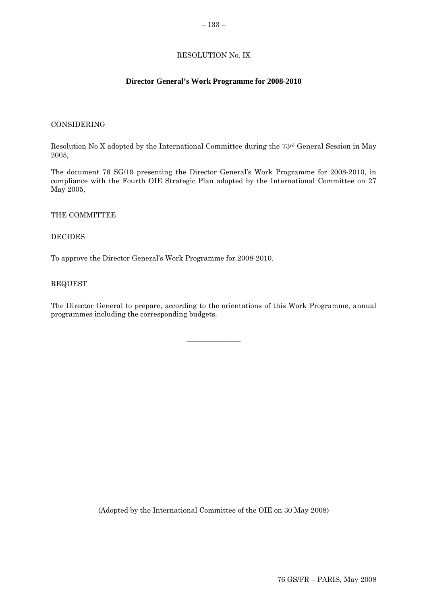# RESOLUTION No. IX

# **Director General's Work Programme for 2008-2010**

#### <span id="page-10-0"></span>CONSIDERING

Resolution No X adopted by the International Committee during the 73rd General Session in May 2005,

The document 76 SG/19 presenting the Director General's Work Programme for 2008-2010, in compliance with the Fourth OIE Strategic Plan adopted by the International Committee on 27 May 2005,

### THE COMMITTEE

### DECIDES

To approve the Director General's Work Programme for 2008-2010.

#### REQUEST

The Director General to prepare, according to the orientations of this Work Programme, annual programmes including the corresponding budgets.

 $\overline{\phantom{a}}$  , where  $\overline{\phantom{a}}$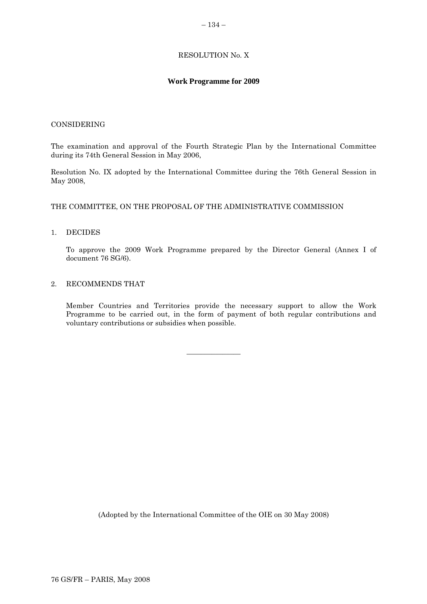# RESOLUTION No. X

### **Work Programme for 2009**

### <span id="page-11-0"></span>CONSIDERING

The examination and approval of the Fourth Strategic Plan by the International Committee during its 74th General Session in May 2006,

Resolution No. IX adopted by the International Committee during the 76th General Session in May 2008,

### THE COMMITTEE, ON THE PROPOSAL OF THE ADMINISTRATIVE COMMISSION

### 1. DECIDES

To approve the 2009 Work Programme prepared by the Director General (Annex I of document 76 SG/6).

### 2. RECOMMENDS THAT

Member Countries and Territories provide the necessary support to allow the Work Programme to be carried out, in the form of payment of both regular contributions and voluntary contributions or subsidies when possible.

 $\overline{\phantom{a}}$  , where  $\overline{\phantom{a}}$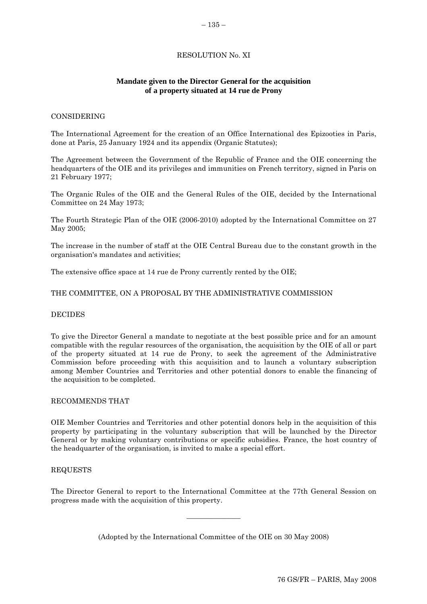# RESOLUTION No. XI

# **Mandate given to the Director General for the acquisition of a property situated at 14 rue de Prony**

#### <span id="page-12-0"></span>CONSIDERING

The International Agreement for the creation of an Office International des Epizooties in Paris, done at Paris, 25 January 1924 and its appendix (Organic Statutes);

The Agreement between the Government of the Republic of France and the OIE concerning the headquarters of the OIE and its privileges and immunities on French territory, signed in Paris on 21 February 1977;

The Organic Rules of the OIE and the General Rules of the OIE, decided by the International Committee on 24 May 1973;

The Fourth Strategic Plan of the OIE (2006-2010) adopted by the International Committee on 27 May 2005;

The increase in the number of staff at the OIE Central Bureau due to the constant growth in the organisation's mandates and activities;

The extensive office space at 14 rue de Prony currently rented by the OIE;

#### THE COMMITTEE, ON A PROPOSAL BY THE ADMINISTRATIVE COMMISSION

### **DECIDES**

To give the Director General a mandate to negotiate at the best possible price and for an amount compatible with the regular resources of the organisation, the acquisition by the OIE of all or part of the property situated at 14 rue de Prony, to seek the agreement of the Administrative Commission before proceeding with this acquisition and to launch a voluntary subscription among Member Countries and Territories and other potential donors to enable the financing of the acquisition to be completed.

### RECOMMENDS THAT

OIE Member Countries and Territories and other potential donors help in the acquisition of this property by participating in the voluntary subscription that will be launched by the Director General or by making voluntary contributions or specific subsidies. France, the host country of the headquarter of the organisation, is invited to make a special effort.

### REQUESTS

The Director General to report to the International Committee at the 77th General Session on progress made with the acquisition of this property.

 $\overline{\phantom{a}}$  , where  $\overline{\phantom{a}}$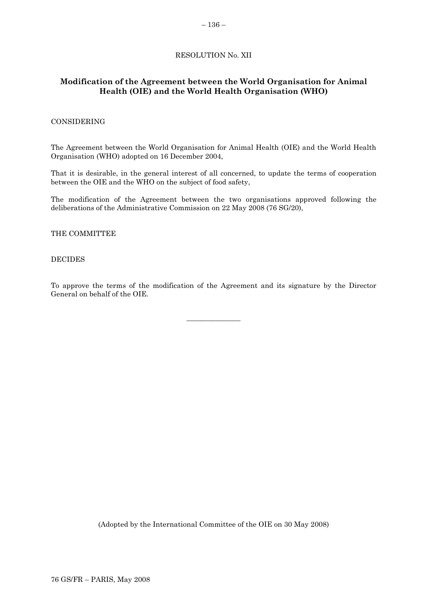# RESOLUTION No. XII

# **Modification of the Agreement between the World Organisation for Animal Health (OIE) and the World Health Organisation (WHO)**

### CONSIDERING

The Agreement between the World Organisation for Animal Health (OIE) and the World Health Organisation (WHO) adopted on 16 December 2004,

That it is desirable, in the general interest of all concerned, to update the terms of cooperation between the OIE and the WHO on the subject of food safety,

The modification of the Agreement between the two organisations approved following the deliberations of the Administrative Commission on 22 May 2008 (76 SG/20),

THE COMMITTEE

### DECIDES

To approve the terms of the modification of the Agreement and its signature by the Director General on behalf of the OIE.

 $\overline{\phantom{a}}$  , where  $\overline{\phantom{a}}$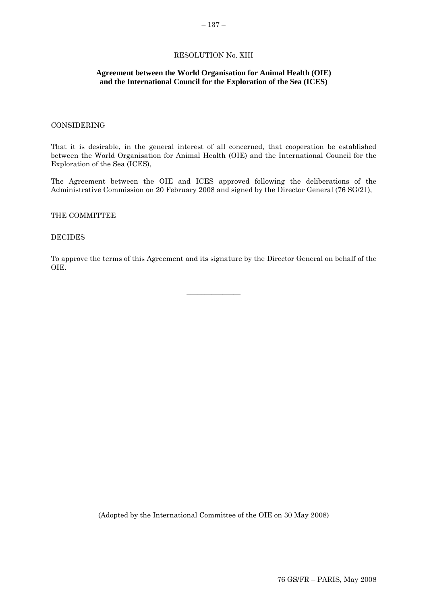### RESOLUTION No. XIII

### <span id="page-14-0"></span>**Agreement between the World Organisation for Animal Health (OIE) and the International Council for the Exploration of the Sea (ICES)**

### CONSIDERING

That it is desirable, in the general interest of all concerned, that cooperation be established between the World Organisation for Animal Health (OIE) and the International Council for the Exploration of the Sea (ICES),

The Agreement between the OIE and ICES approved following the deliberations of the Administrative Commission on 20 February 2008 and signed by the Director General (76 SG/21),

### THE COMMITTEE

#### DECIDES

To approve the terms of this Agreement and its signature by the Director General on behalf of the OIE.

 $\overline{\phantom{a}}$  , where  $\overline{\phantom{a}}$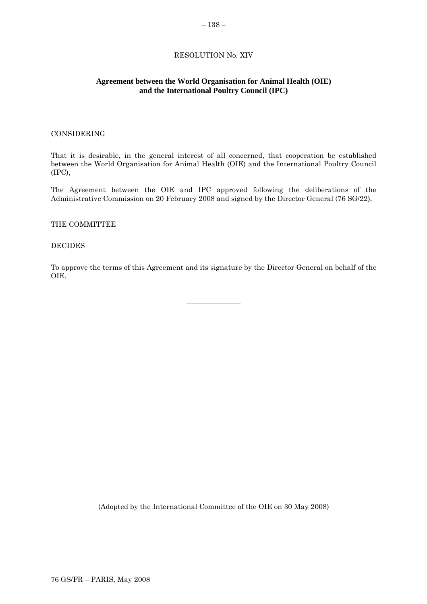### RESOLUTION No. XIV

### <span id="page-15-0"></span>**Agreement between the World Organisation for Animal Health (OIE) and the International Poultry Council (IPC)**

### CONSIDERING

That it is desirable, in the general interest of all concerned, that cooperation be established between the World Organisation for Animal Health (OIE) and the International Poultry Council (IPC),

The Agreement between the OIE and IPC approved following the deliberations of the Administrative Commission on 20 February 2008 and signed by the Director General (76 SG/22),

#### THE COMMITTEE

#### DECIDES

To approve the terms of this Agreement and its signature by the Director General on behalf of the OIE.

 $\overline{\phantom{a}}$  , where  $\overline{\phantom{a}}$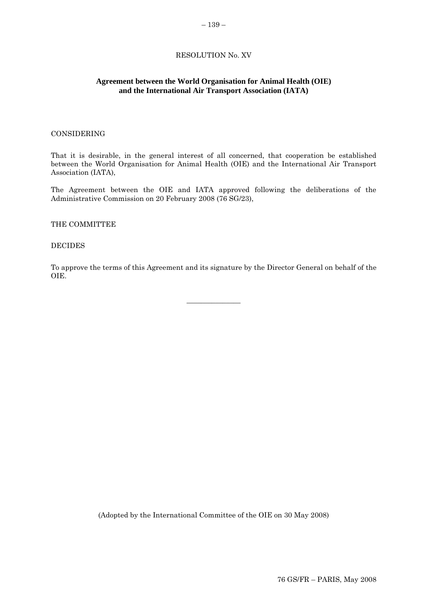### RESOLUTION No. XV

### <span id="page-16-0"></span>**Agreement between the World Organisation for Animal Health (OIE) and the International Air Transport Association (IATA)**

### CONSIDERING

That it is desirable, in the general interest of all concerned, that cooperation be established between the World Organisation for Animal Health (OIE) and the International Air Transport Association (IATA),

The Agreement between the OIE and IATA approved following the deliberations of the Administrative Commission on 20 February 2008 (76 SG/23),

### THE COMMITTEE

#### DECIDES

To approve the terms of this Agreement and its signature by the Director General on behalf of the OIE.

 $\overline{\phantom{a}}$  , where  $\overline{\phantom{a}}$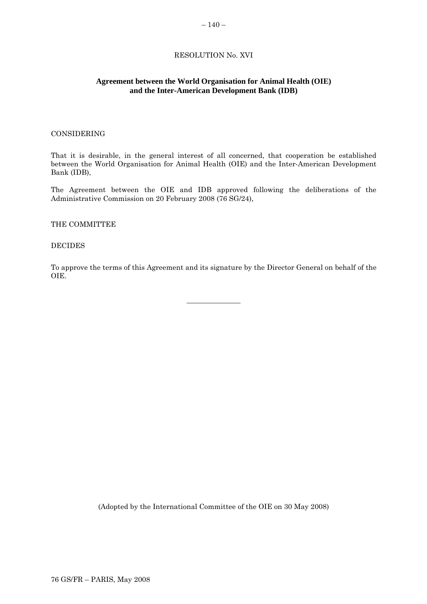# RESOLUTION No. XVI

# <span id="page-17-0"></span>**Agreement between the World Organisation for Animal Health (OIE) and the Inter-American Development Bank (IDB)**

### CONSIDERING

That it is desirable, in the general interest of all concerned, that cooperation be established between the World Organisation for Animal Health (OIE) and the Inter-American Development Bank (IDB),

The Agreement between the OIE and IDB approved following the deliberations of the Administrative Commission on 20 February 2008 (76 SG/24),

#### THE COMMITTEE

#### DECIDES

To approve the terms of this Agreement and its signature by the Director General on behalf of the OIE.

 $\overline{\phantom{a}}$  , where  $\overline{\phantom{a}}$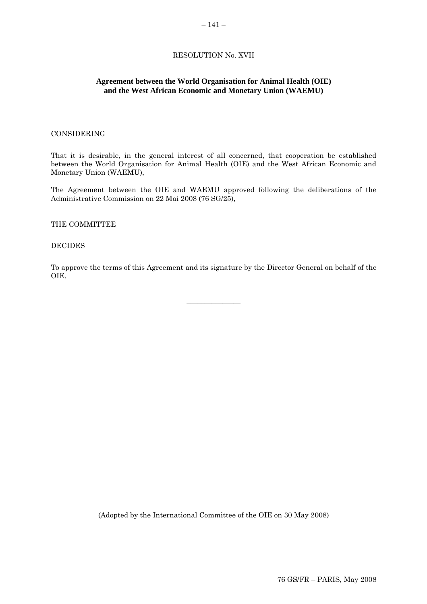# RESOLUTION No. XVII

### **Agreement between the World Organisation for Animal Health (OIE) and the West African Economic and Monetary Union (WAEMU)**

### CONSIDERING

That it is desirable, in the general interest of all concerned, that cooperation be established between the World Organisation for Animal Health (OIE) and the West African Economic and Monetary Union (WAEMU),

The Agreement between the OIE and WAEMU approved following the deliberations of the Administrative Commission on 22 Mai 2008 (76 SG/25),

#### THE COMMITTEE

#### DECIDES

To approve the terms of this Agreement and its signature by the Director General on behalf of the OIE.

 $\overline{\phantom{a}}$  , where  $\overline{\phantom{a}}$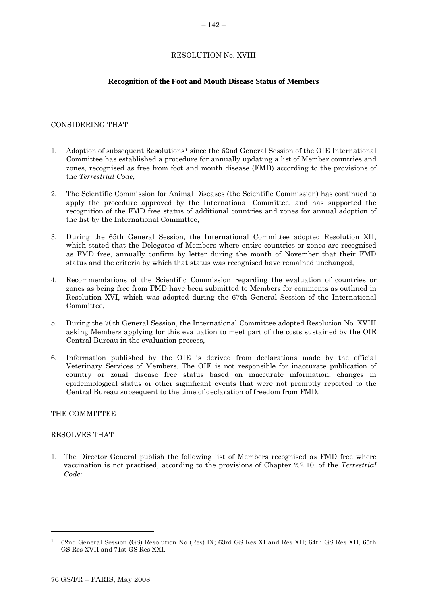# RESOLUTION No. XVIII

### **Recognition of the Foot and Mouth Disease Status of Members**

### <span id="page-19-0"></span>CONSIDERING THAT

- [1](#page-19-0). Adoption of subsequent Resolutions<sup>1</sup> since the 62nd General Session of the OIE International Committee has established a procedure for annually updating a list of Member countries and zones, recognised as free from foot and mouth disease (FMD) according to the provisions of the *Terrestrial Code*,
- 2. The Scientific Commission for Animal Diseases (the Scientific Commission) has continued to apply the procedure approved by the International Committee, and has supported the recognition of the FMD free status of additional countries and zones for annual adoption of the list by the International Committee,
- 3. During the 65th General Session, the International Committee adopted Resolution XII, which stated that the Delegates of Members where entire countries or zones are recognised as FMD free, annually confirm by letter during the month of November that their FMD status and the criteria by which that status was recognised have remained unchanged,
- 4. Recommendations of the Scientific Commission regarding the evaluation of countries or zones as being free from FMD have been submitted to Members for comments as outlined in Resolution XVI, which was adopted during the 67th General Session of the International Committee,
- 5. During the 70th General Session, the International Committee adopted Resolution No. XVIII asking Members applying for this evaluation to meet part of the costs sustained by the OIE Central Bureau in the evaluation process,
- 6. Information published by the OIE is derived from declarations made by the official Veterinary Services of Members. The OIE is not responsible for inaccurate publication of country or zonal disease free status based on inaccurate information, changes in epidemiological status or other significant events that were not promptly reported to the Central Bureau subsequent to the time of declaration of freedom from FMD.

### THE COMMITTEE

### RESOLVES THAT

l

1. The Director General publish the following list of Members recognised as FMD free where vaccination is not practised, according to the provisions of Chapter 2.2.10. of the *Terrestrial Code*:

<sup>1</sup> 62nd General Session (GS) Resolution No (Res) IX; 63rd GS Res XI and Res XII; 64th GS Res XII, 65th GS Res XVII and 71st GS Res XXI.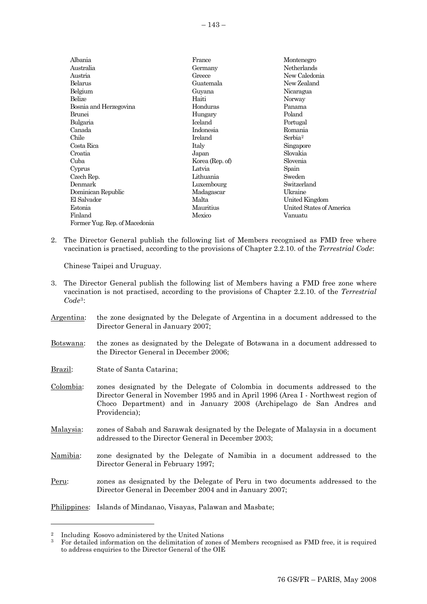<span id="page-20-0"></span>

| Albania                       | France          | Montenegro               |
|-------------------------------|-----------------|--------------------------|
| Australia                     | Germany         | <b>Netherlands</b>       |
| Austria                       | Greece          | New Caledonia            |
| Belarus                       | Guatemala       | New Zealand              |
| Belgium                       | Guyana          | Nicaragua                |
| Belize                        | Haiti           | Norway                   |
| Bosnia and Herzegovina        | Honduras        | Panama                   |
| Brunei                        | Hungary         | Poland                   |
| Bulgaria                      | <b>Iceland</b>  | Portugal                 |
| Canada                        | Indonesia       | Romania                  |
| Chile                         | Ireland         | Serbia <sup>2</sup>      |
| Costa Rica                    | Italy           | Singapore                |
| Croatia                       | Japan           | Slovakia                 |
| Cuba                          | Korea (Rep. of) | Slovenia                 |
| Cyprus                        | Latvia          | Spain                    |
| Czech Rep.                    | Lithuania       | Sweden                   |
| Denmark                       | Luxembourg      | Switzerland              |
| Dominican Republic            | Madagascar      | Ukraine                  |
| El Salvador                   | Malta           | United Kingdom           |
| Estonia                       | Mauritius       | United States of America |
| Finland                       | Mexico          | Vanuatu                  |
| Former Yug. Rep. of Macedonia |                 |                          |

2. The Director General publish the following list of Members recognised as FMD free where vaccination is practised, according to the provisions of Chapter 2.2.10. of the *Terrestrial Code*:

Chinese Taipei and Uruguay.

- 3. The Director General publish the following list of Members having a FMD free zone where vaccination is not practised, according to the provisions of Chapter 2.2.10. of the *Terrestrial Code*[3](#page-20-0):
- Argentina: the zone designated by the Delegate of Argentina in a document addressed to the Director General in January 2007;
- Botswana: the zones as designated by the Delegate of Botswana in a document addressed to the Director General in December 2006;
- Brazil: State of Santa Catarina;
- Colombia: zones designated by the Delegate of Colombia in documents addressed to the Director General in November 1995 and in April 1996 (Area I - Northwest region of Choco Department) and in January 2008 (Archipelago de San Andres and Providencia);
- Malaysia: zones of Sabah and Sarawak designated by the Delegate of Malaysia in a document addressed to the Director General in December 2003;
- Namibia: zone designated by the Delegate of Namibia in a document addressed to the Director General in February 1997;
- Peru: zones as designated by the Delegate of Peru in two documents addressed to the Director General in December 2004 and in January 2007;
- Philippines: Islands of Mindanao, Visayas, Palawan and Masbate;

l

<sup>2</sup> Including Kosovo administered by the United Nations

<sup>3</sup> For detailed information on the delimitation of zones of Members recognised as FMD free, it is required to address enquiries to the Director General of the OIE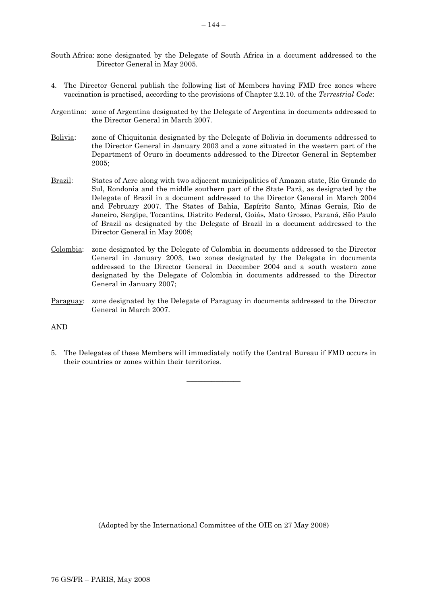- South Africa: zone designated by the Delegate of South Africa in a document addressed to the Director General in May 2005.
- 4. The Director General publish the following list of Members having FMD free zones where vaccination is practised, according to the provisions of Chapter 2.2.10. of the *Terrestrial Code*:
- Argentina: zone of Argentina designated by the Delegate of Argentina in documents addressed to the Director General in March 2007.
- Bolivia: zone of Chiquitania designated by the Delegate of Bolivia in documents addressed to the Director General in January 2003 and a zone situated in the western part of the Department of Oruro in documents addressed to the Director General in September 2005;
- Brazil: States of Acre along with two adjacent municipalities of Amazon state, Rio Grande do Sul, Rondonia and the middle southern part of the State Parà, as designated by the Delegate of Brazil in a document addressed to the Director General in March 2004 and February 2007. The States of Bahia, Espírito Santo, Minas Gerais, Rio de Janeiro, Sergipe, Tocantins, Distrito Federal, Goiás, Mato Grosso, Paraná, São Paulo of Brazil as designated by the Delegate of Brazil in a document addressed to the Director General in May 2008;
- Colombia: zone designated by the Delegate of Colombia in documents addressed to the Director General in January 2003, two zones designated by the Delegate in documents addressed to the Director General in December 2004 and a south western zone designated by the Delegate of Colombia in documents addressed to the Director General in January 2007;
- Paraguay: zone designated by the Delegate of Paraguay in documents addressed to the Director General in March 2007.

AND

5. The Delegates of these Members will immediately notify the Central Bureau if FMD occurs in their countries or zones within their territories.

 $\overline{\phantom{a}}$  , where  $\overline{\phantom{a}}$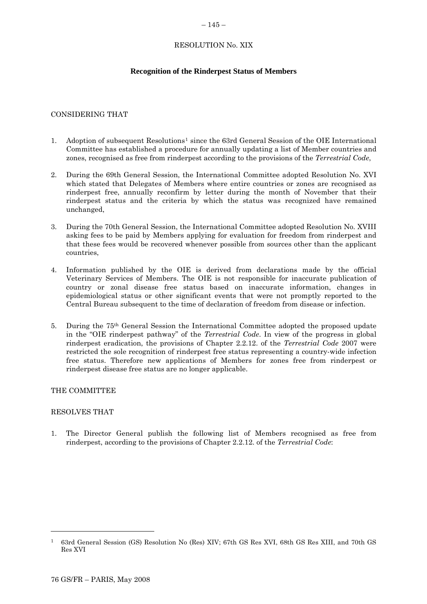### $-145-$

# RESOLUTION No. XIX

# **Recognition of the Rinderpest Status of Members**

### <span id="page-22-0"></span>CONSIDERING THAT

- [1](#page-22-0). Adoption of subsequent Resolutions<sup>1</sup> since the 63rd General Session of the OIE International Committee has established a procedure for annually updating a list of Member countries and zones, recognised as free from rinderpest according to the provisions of the *Terrestrial Code*,
- 2. During the 69th General Session, the International Committee adopted Resolution No. XVI which stated that Delegates of Members where entire countries or zones are recognised as rinderpest free, annually reconfirm by letter during the month of November that their rinderpest status and the criteria by which the status was recognized have remained unchanged,
- 3. During the 70th General Session, the International Committee adopted Resolution No. XVIII asking fees to be paid by Members applying for evaluation for freedom from rinderpest and that these fees would be recovered whenever possible from sources other than the applicant countries,
- 4. Information published by the OIE is derived from declarations made by the official Veterinary Services of Members. The OIE is not responsible for inaccurate publication of country or zonal disease free status based on inaccurate information, changes in epidemiological status or other significant events that were not promptly reported to the Central Bureau subsequent to the time of declaration of freedom from disease or infection.
- 5. During the 75th General Session the International Committee adopted the proposed update in the "OIE rinderpest pathway" of the *Terrestrial Code*. In view of the progress in global rinderpest eradication, the provisions of Chapter 2.2.12. of the *Terrestrial Code* 2007 were restricted the sole recognition of rinderpest free status representing a country-wide infection free status. Therefore new applications of Members for zones free from rinderpest or rinderpest disease free status are no longer applicable.

### THE COMMITTEE

### RESOLVES THAT

l

1. The Director General publish the following list of Members recognised as free from rinderpest, according to the provisions of Chapter 2.2.12. of the *Terrestrial Code*:

<sup>1 63</sup>rd General Session (GS) Resolution No (Res) XIV; 67th GS Res XVI, 68th GS Res XIII, and 70th GS Res XVI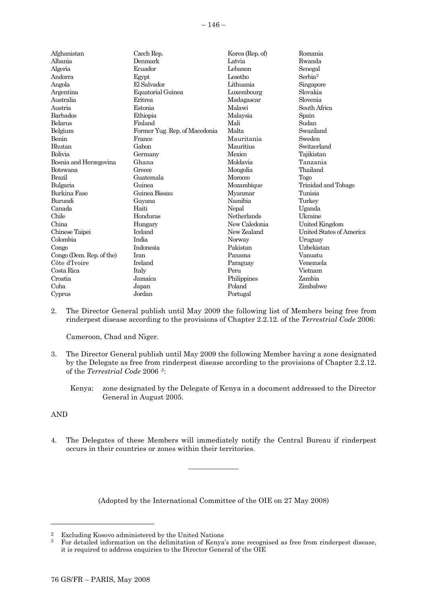<span id="page-23-0"></span>

| Afghanistan              | Czech Rep.                    | Korea (Rep. of) | Romania                  |
|--------------------------|-------------------------------|-----------------|--------------------------|
| Albania                  | Denmark                       | Latvia          | Rwanda                   |
| Algeria                  | Ecuador                       | Lebanon         | Senegal                  |
| Andorra                  | Egypt                         | Lesotho         | Serbia <sup>2</sup>      |
| Angola                   | El Salvador                   | Lithuania       | Singapore                |
| Argentina                | Equatorial Guinea             | Luxembourg      | Slovakia                 |
| Australia                | Eritrea                       | Madagascar      | Slovenia                 |
| Austria                  | Estonia                       | Malawi          | South Africa             |
| Barbados                 | Ethiopia                      | Malaysia        | Spain                    |
| Belarus                  | Finland                       | Mali            | Sudan                    |
| Belgium                  | Former Yug. Rep. of Macedonia | Malta           | Swaziland                |
| Benin                    | France                        | Mauritania      | Sweden                   |
| Bhutan                   | Gabon                         | Mauritius       | Switzerland              |
| Bolivia                  | Germany                       | Mexico          | Tajikistan               |
| Bosnia and Herzegovina   | Ghana                         | Moldavia        | Tanzania                 |
| Botswana                 | Greece                        | Mongolia        | Thailand                 |
| <b>Brazil</b>            | Guatemala                     | Morocco         | Togo                     |
| Bulgaria                 | Guinea                        | Mozambique      | Trinidad and Tobago      |
| Burkina Faso             | Guinea Bissau                 | Myanmar         | Tunisia                  |
| Burundi                  | Guyana                        | Namibia         | Turkey                   |
| Canada                   | Haiti                         | Nepal           | Uganda                   |
| Chile                    | Honduras                      | Netherlands     | Ukraine                  |
| China                    | Hungary                       | New Caledonia   | United Kingdom           |
| Chinese Taipei           | Iceland                       | New Zealand     | United States of America |
| Colombia                 | India                         | Norway          | Uruguay                  |
| Congo                    | Indonesia                     | Pakistan        | Uzbekistan               |
| Congo (Dem. Rep. of the) | Iran                          | Panama          | Vanuatu                  |
| Côte d'Ivoire            | Ireland                       | Paraguay        | Venezuela                |
| Costa Rica               | Italy                         | Peru            | Vietnam                  |
| Croatia                  | Jamaica                       | Philippines     | Zambia                   |
| Cuba                     | Japan                         | Poland          | Zimbabwe                 |
| Cyprus                   | Jordan                        | Portugal        |                          |

2. The Director General publish until May 2009 the following list of Members being free from rinderpest disease according to the provisions of Chapter 2.2.12. of the *Terrestrial Code* 2006:

Cameroon, Chad and Niger.

3. The Director General publish until May 2009 the following Member having a zone designated by the Delegate as free from rinderpest disease according to the provisions of Chapter 2.2.12. of the *Terrestrial Code* 2006 *[3](#page-23-0)*:

Kenya: zone designated by the Delegate of Kenya in a document addressed to the Director General in August 2005.

AND

l

4. The Delegates of these Members will immediately notify the Central Bureau if rinderpest occurs in their countries or zones within their territories.

 $\overline{\phantom{a}}$  , where  $\overline{\phantom{a}}$ 

<sup>&</sup>lt;sup>2</sup> Excluding Kosovo administered by the United Nations<br><sup>3</sup> Equilibrium of the definitation of Konva

<sup>3</sup> For detailed information on the delimitation of Kenya's zone recognised as free from rinderpest disease, it is required to address enquiries to the Director General of the OIE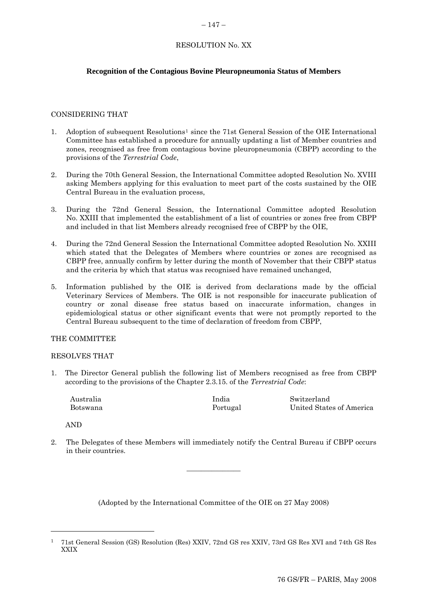### $-147-$

# RESOLUTION No. XX

# <span id="page-24-0"></span>**Recognition of the Contagious Bovine Pleuropneumonia Status of Members**

# CONSIDERING THAT

- 1. Adoption of subsequent Resolutions[1](#page-24-0) since the 71st General Session of the OIE International Committee has established a procedure for annually updating a list of Member countries and zones, recognised as free from contagious bovine pleuropneumonia (CBPP) according to the provisions of the *Terrestrial Code*,
- 2. During the 70th General Session, the International Committee adopted Resolution No. XVIII asking Members applying for this evaluation to meet part of the costs sustained by the OIE Central Bureau in the evaluation process,
- 3. During the 72nd General Session, the International Committee adopted Resolution No. XXIII that implemented the establishment of a list of countries or zones free from CBPP and included in that list Members already recognised free of CBPP by the OIE,
- 4. During the 72nd General Session the International Committee adopted Resolution No. XXIII which stated that the Delegates of Members where countries or zones are recognised as CBPP free, annually confirm by letter during the month of November that their CBPP status and the criteria by which that status was recognised have remained unchanged,
- 5. Information published by the OIE is derived from declarations made by the official Veterinary Services of Members. The OIE is not responsible for inaccurate publication of country or zonal disease free status based on inaccurate information, changes in epidemiological status or other significant events that were not promptly reported to the Central Bureau subsequent to the time of declaration of freedom from CBPP,

### THE COMMITTEE

### RESOLVES THAT

1. The Director General publish the following list of Members recognised as free from CBPP according to the provisions of the Chapter 2.3.15. of the *Terrestrial Code*:

| Australia | India    | Switzerland              |
|-----------|----------|--------------------------|
| Botswana  | Portugal | United States of America |

AND

l

2. The Delegates of these Members will immediately notify the Central Bureau if CBPP occurs in their countries.

 $\overline{\phantom{a}}$  , where  $\overline{\phantom{a}}$ 

<sup>1</sup> 71st General Session (GS) Resolution (Res) XXIV, 72nd GS res XXIV, 73rd GS Res XVI and 74th GS Res XXIX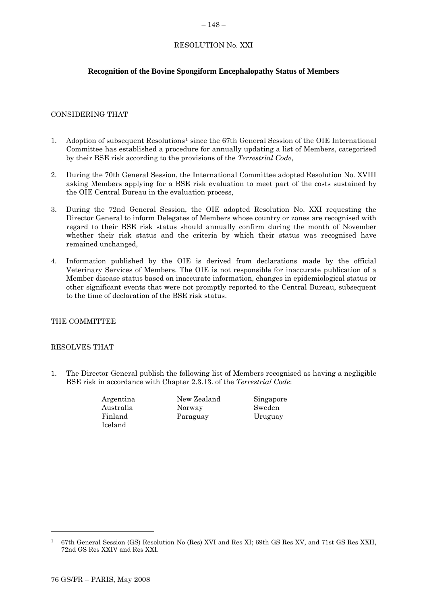### $-148-$

# RESOLUTION No. XXI

# <span id="page-25-0"></span>**Recognition of the Bovine Spongiform Encephalopathy Status of Members**

# CONSIDERING THAT

- [1](#page-25-0). Adoption of subsequent Resolutions<sup>1</sup> since the 67th General Session of the OIE International Committee has established a procedure for annually updating a list of Members, categorised by their BSE risk according to the provisions of the *Terrestrial Code*,
- 2. During the 70th General Session, the International Committee adopted Resolution No. XVIII asking Members applying for a BSE risk evaluation to meet part of the costs sustained by the OIE Central Bureau in the evaluation process,
- 3. During the 72nd General Session, the OIE adopted Resolution No. XXI requesting the Director General to inform Delegates of Members whose country or zones are recognised with regard to their BSE risk status should annually confirm during the month of November whether their risk status and the criteria by which their status was recognised have remained unchanged,
- 4. Information published by the OIE is derived from declarations made by the official Veterinary Services of Members. The OIE is not responsible for inaccurate publication of a Member disease status based on inaccurate information, changes in epidemiological status or other significant events that were not promptly reported to the Central Bureau, subsequent to the time of declaration of the BSE risk status.

### THE COMMITTEE

### RESOLVES THAT

1. The Director General publish the following list of Members recognised as having a negligible BSE risk in accordance with Chapter 2.3.13. of the *Terrestrial Code*:

| Argentina      | New Zealand | Singapore |
|----------------|-------------|-----------|
| Australia      | Norway      | Sweden    |
| Finland        | Paraguay    | Uruguay   |
| <b>Iceland</b> |             |           |

l

<sup>1 67</sup>th General Session (GS) Resolution No (Res) XVI and Res XI; 69th GS Res XV, and 71st GS Res XXII, 72nd GS Res XXIV and Res XXI.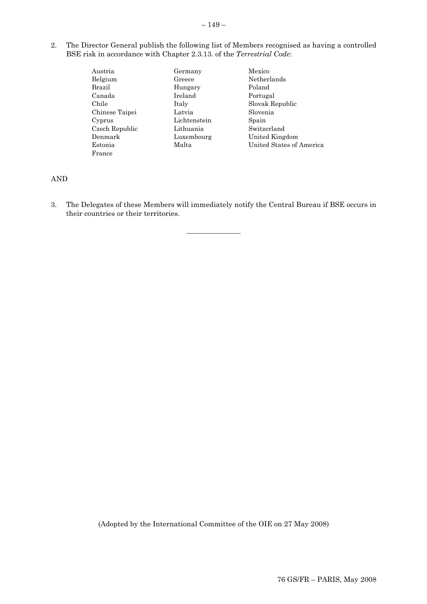- $-149-$
- 2. The Director General publish the following list of Members recognised as having a controlled BSE risk in accordance with Chapter 2.3.13. of the *Terrestrial Code*:
	- Austria Germany Mexico Belgium Greece Netherlands Brazil Hungary Poland Canada Ireland Portugal Chile Italy Italy Slovak Republic Chinese Taipei Latvia Slovenia Cyprus Lichtenstein Spain Czech Republic Lithuania Switzerland Denmark Luxembourg United Kingdom Estonia Malta United States of America France

AND

3. The Delegates of these Members will immediately notify the Central Bureau if BSE occurs in their countries or their territories.

 $\overline{\phantom{a}}$  , where  $\overline{\phantom{a}}$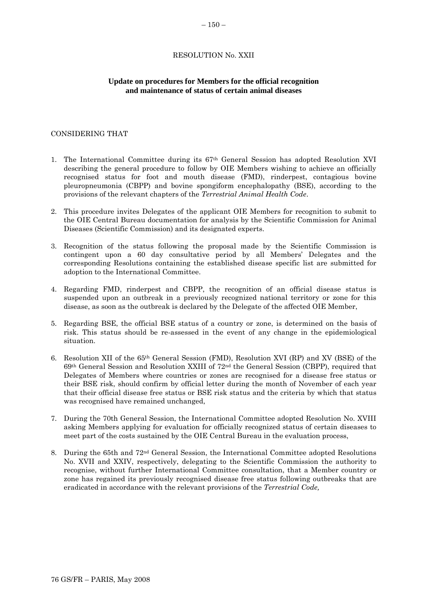### RESOLUTION No. XXII

### <span id="page-27-0"></span>**Update on procedures for Members for the official recognition and maintenance of status of certain animal diseases**

#### CONSIDERING THAT

- 1. The International Committee during its 67th General Session has adopted Resolution XVI describing the general procedure to follow by OIE Members wishing to achieve an officially recognised status for foot and mouth disease (FMD), rinderpest, contagious bovine pleuropneumonia (CBPP) and bovine spongiform encephalopathy (BSE), according to the provisions of the relevant chapters of the *Terrestrial Animal Health Code*.
- 2. This procedure invites Delegates of the applicant OIE Members for recognition to submit to the OIE Central Bureau documentation for analysis by the Scientific Commission for Animal Diseases (Scientific Commission) and its designated experts.
- 3. Recognition of the status following the proposal made by the Scientific Commission is contingent upon a 60 day consultative period by all Members' Delegates and the corresponding Resolutions containing the established disease specific list are submitted for adoption to the International Committee.
- 4. Regarding FMD, rinderpest and CBPP, the recognition of an official disease status is suspended upon an outbreak in a previously recognized national territory or zone for this disease, as soon as the outbreak is declared by the Delegate of the affected OIE Member,
- 5. Regarding BSE, the official BSE status of a country or zone, is determined on the basis of risk. This status should be re-assessed in the event of any change in the epidemiological situation.
- 6. Resolution XII of the 65th General Session (FMD), Resolution XVI (RP) and XV (BSE) of the  $69<sup>th</sup>$  General Session and Resolution XXIII of  $72<sup>nd</sup>$  the General Session (CBPP), required that Delegates of Members where countries or zones are recognised for a disease free status or their BSE risk, should confirm by official letter during the month of November of each year that their official disease free status or BSE risk status and the criteria by which that status was recognised have remained unchanged,
- 7. During the 70th General Session, the International Committee adopted Resolution No. XVIII asking Members applying for evaluation for officially recognized status of certain diseases to meet part of the costs sustained by the OIE Central Bureau in the evaluation process,
- 8. During the 65th and  $72<sup>nd</sup>$  General Session, the International Committee adopted Resolutions No. XVII and XXIV, respectively, delegating to the Scientific Commission the authority to recognise, without further International Committee consultation, that a Member country or zone has regained its previously recognised disease free status following outbreaks that are eradicated in accordance with the relevant provisions of the *Terrestrial Code,*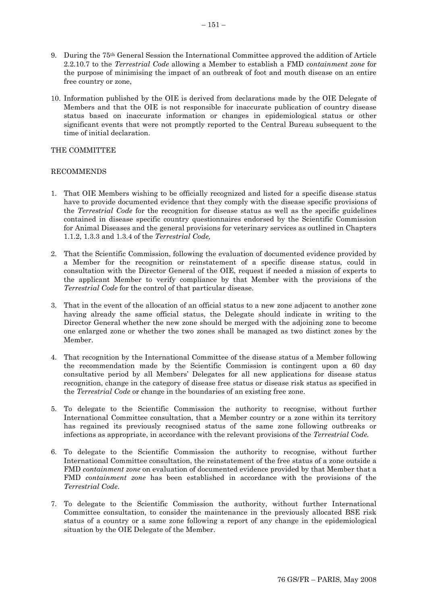- 9. During the 75th General Session the International Committee approved the addition of Article 2.2.10.7 to the *Terrestrial Code* allowing a Member to establish a FMD *containment zone* for the purpose of minimising the impact of an outbreak of foot and mouth disease on an entire free country or zone,
- 10. Information published by the OIE is derived from declarations made by the OIE Delegate of Members and that the OIE is not responsible for inaccurate publication of country disease status based on inaccurate information or changes in epidemiological status or other significant events that were not promptly reported to the Central Bureau subsequent to the time of initial declaration.

### THE COMMITTEE

# RECOMMENDS

- 1. That OIE Members wishing to be officially recognized and listed for a specific disease status have to provide documented evidence that they comply with the disease specific provisions of the *Terrestrial Code* for the recognition for disease status as well as the specific guidelines contained in disease specific country questionnaires endorsed by the Scientific Commission for Animal Diseases and the general provisions for veterinary services as outlined in Chapters 1.1.2, 1.3.3 and 1.3.4 of the *Terrestrial Code,*
- 2. That the Scientific Commission, following the evaluation of documented evidence provided by a Member for the recognition or reinstatement of a specific disease status, could in consultation with the Director General of the OIE, request if needed a mission of experts to the applicant Member to verify compliance by that Member with the provisions of the *Terrestrial Code* for the control of that particular disease.
- 3. That in the event of the allocation of an official status to a new zone adjacent to another zone having already the same official status, the Delegate should indicate in writing to the Director General whether the new zone should be merged with the adjoining zone to become one enlarged zone or whether the two zones shall be managed as two distinct zones by the Member.
- 4. That recognition by the International Committee of the disease status of a Member following the recommendation made by the Scientific Commission is contingent upon a 60 day consultative period by all Members' Delegates for all new applications for disease status recognition, change in the category of disease free status or disease risk status as specified in the *Terrestrial Code* or change in the boundaries of an existing free zone.
- 5. To delegate to the Scientific Commission the authority to recognise, without further International Committee consultation, that a Member country or a zone within its territory has regained its previously recognised status of the same zone following outbreaks or infections as appropriate, in accordance with the relevant provisions of the *Terrestrial Code.*
- 6. To delegate to the Scientific Commission the authority to recognise, without further International Committee consultation, the reinstatement of the free status of a zone outside a FMD *containment zone* on evaluation of documented evidence provided by that Member that a FMD *containment zone* has been established in accordance with the provisions of the *Terrestrial Code*.
- 7. To delegate to the Scientific Commission the authority, without further International Committee consultation, to consider the maintenance in the previously allocated BSE risk status of a country or a same zone following a report of any change in the epidemiological situation by the OIE Delegate of the Member.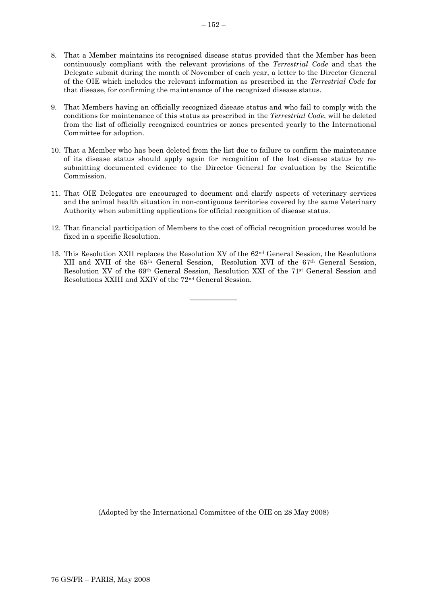- 8. That a Member maintains its recognised disease status provided that the Member has been continuously compliant with the relevant provisions of the *Terrestrial Code* and that the Delegate submit during the month of November of each year, a letter to the Director General of the OIE which includes the relevant information as prescribed in the *Terrestrial Code* for that disease, for confirming the maintenance of the recognized disease status.
- 9. That Members having an officially recognized disease status and who fail to comply with the conditions for maintenance of this status as prescribed in the *Terrestrial Code*, will be deleted from the list of officially recognized countries or zones presented yearly to the International Committee for adoption.
- 10. That a Member who has been deleted from the list due to failure to confirm the maintenance of its disease status should apply again for recognition of the lost disease status by resubmitting documented evidence to the Director General for evaluation by the Scientific Commission.
- 11. That OIE Delegates are encouraged to document and clarify aspects of veterinary services and the animal health situation in non-contiguous territories covered by the same Veterinary Authority when submitting applications for official recognition of disease status.
- 12. That financial participation of Members to the cost of official recognition procedures would be fixed in a specific Resolution.
- 13. This Resolution XXII replaces the Resolution XV of the 62nd General Session, the Resolutions XII and XVII of the 65th General Session, Resolution XVI of the 67th General Session, Resolution XV of the 69th General Session, Resolution XXI of the 71st General Session and Resolutions XXIII and XXIV of the 72nd General Session.

\_\_\_\_\_\_\_\_\_\_\_\_\_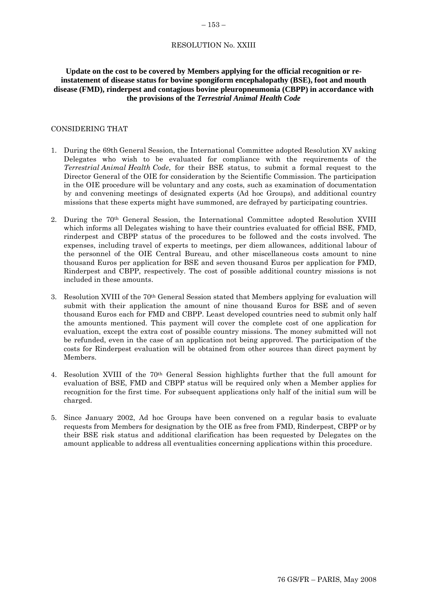### RESOLUTION No. XXIII

# <span id="page-30-0"></span>**Update on the cost to be covered by Members applying for the official recognition or reinstatement of disease status for bovine spongiform encephalopathy (BSE), foot and mouth disease (FMD), rinderpest and contagious bovine pleuropneumonia (CBPP) in accordance with the provisions of the** *Terrestrial Animal Health Code*

#### CONSIDERING THAT

- 1. During the 69th General Session, the International Committee adopted Resolution XV asking Delegates who wish to be evaluated for compliance with the requirements of the *Terrestrial Animal Health Code*, for their BSE status, to submit a formal request to the Director General of the OIE for consideration by the Scientific Commission. The participation in the OIE procedure will be voluntary and any costs, such as examination of documentation by and convening meetings of designated experts (Ad hoc Groups), and additional country missions that these experts might have summoned, are defrayed by participating countries.
- 2. During the 70th General Session, the International Committee adopted Resolution XVIII which informs all Delegates wishing to have their countries evaluated for official BSE, FMD, rinderpest and CBPP status of the procedures to be followed and the costs involved. The expenses, including travel of experts to meetings, per diem allowances, additional labour of the personnel of the OIE Central Bureau, and other miscellaneous costs amount to nine thousand Euros per application for BSE and seven thousand Euros per application for FMD, Rinderpest and CBPP, respectively. The cost of possible additional country missions is not included in these amounts.
- 3. Resolution XVIII of the 70th General Session stated that Members applying for evaluation will submit with their application the amount of nine thousand Euros for BSE and of seven thousand Euros each for FMD and CBPP. Least developed countries need to submit only half the amounts mentioned. This payment will cover the complete cost of one application for evaluation, except the extra cost of possible country missions. The money submitted will not be refunded, even in the case of an application not being approved. The participation of the costs for Rinderpest evaluation will be obtained from other sources than direct payment by Members.
- 4. Resolution XVIII of the 70th General Session highlights further that the full amount for evaluation of BSE, FMD and CBPP status will be required only when a Member applies for recognition for the first time. For subsequent applications only half of the initial sum will be charged.
- 5. Since January 2002, Ad hoc Groups have been convened on a regular basis to evaluate requests from Members for designation by the OIE as free from FMD, Rinderpest, CBPP or by their BSE risk status and additional clarification has been requested by Delegates on the amount applicable to address all eventualities concerning applications within this procedure.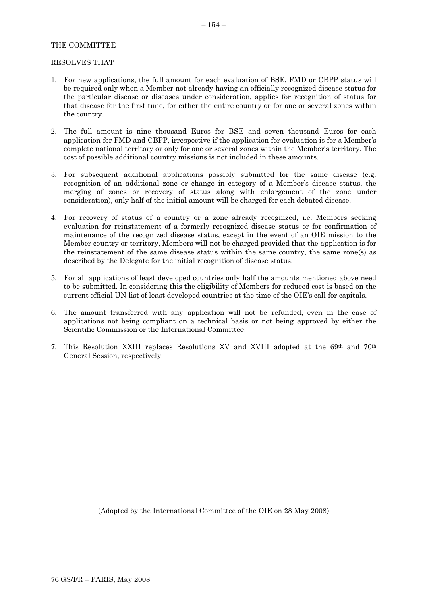### THE COMMITTEE

#### RESOLVES THAT

- 1. For new applications, the full amount for each evaluation of BSE, FMD or CBPP status will be required only when a Member not already having an officially recognized disease status for the particular disease or diseases under consideration, applies for recognition of status for that disease for the first time, for either the entire country or for one or several zones within the country.
- 2. The full amount is nine thousand Euros for BSE and seven thousand Euros for each application for FMD and CBPP, irrespective if the application for evaluation is for a Member's complete national territory or only for one or several zones within the Member's territory. The cost of possible additional country missions is not included in these amounts.
- 3. For subsequent additional applications possibly submitted for the same disease (e.g. recognition of an additional zone or change in category of a Member's disease status, the merging of zones or recovery of status along with enlargement of the zone under consideration), only half of the initial amount will be charged for each debated disease.
- 4. For recovery of status of a country or a zone already recognized, i.e. Members seeking evaluation for reinstatement of a formerly recognized disease status or for confirmation of maintenance of the recognized disease status, except in the event of an OIE mission to the Member country or territory, Members will not be charged provided that the application is for the reinstatement of the same disease status within the same country, the same zone(s) as described by the Delegate for the initial recognition of disease status.
- 5. For all applications of least developed countries only half the amounts mentioned above need to be submitted. In considering this the eligibility of Members for reduced cost is based on the current official UN list of least developed countries at the time of the OIE's call for capitals.
- 6. The amount transferred with any application will not be refunded, even in the case of applications not being compliant on a technical basis or not being approved by either the Scientific Commission or the International Committee.
- 7. This Resolution XXIII replaces Resolutions XV and XVIII adopted at the 69th and 70th General Session, respectively.

 $\overline{\phantom{a}}$  , where  $\overline{\phantom{a}}$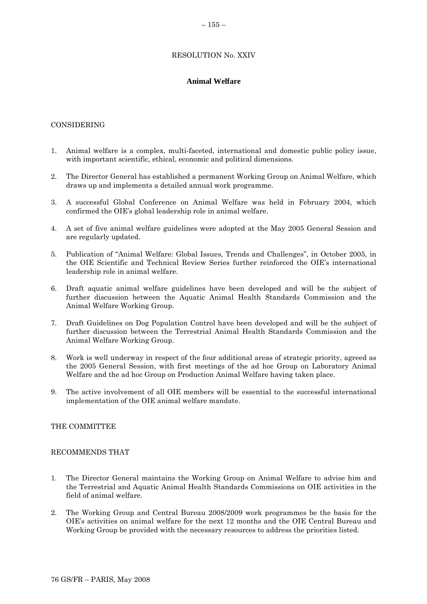# RESOLUTION No. XXIV

# **Animal Welfare**

### <span id="page-32-0"></span>CONSIDERING

- 1. Animal welfare is a complex, multi-faceted, international and domestic public policy issue, with important scientific, ethical, economic and political dimensions.
- 2. The Director General has established a permanent Working Group on Animal Welfare, which draws up and implements a detailed annual work programme.
- 3. A successful Global Conference on Animal Welfare was held in February 2004, which confirmed the OIE's global leadership role in animal welfare.
- 4. A set of five animal welfare guidelines were adopted at the May 2005 General Session and are regularly updated.
- 5. Publication of "Animal Welfare: Global Issues, Trends and Challenges", in October 2005, in the OIE Scientific and Technical Review Series further reinforced the OIE's international leadership role in animal welfare.
- 6. Draft aquatic animal welfare guidelines have been developed and will be the subject of further discussion between the Aquatic Animal Health Standards Commission and the Animal Welfare Working Group.
- 7. Draft Guidelines on Dog Population Control have been developed and will be the subject of further discussion between the Terrestrial Animal Health Standards Commission and the Animal Welfare Working Group.
- 8. Work is well underway in respect of the four additional areas of strategic priority, agreed as the 2005 General Session, with first meetings of the ad hoc Group on Laboratory Animal Welfare and the ad hoc Group on Production Animal Welfare having taken place.
- 9. The active involvement of all OIE members will be essential to the successful international implementation of the OIE animal welfare mandate.

### THE COMMITTEE

### RECOMMENDS THAT

- 1. The Director General maintains the Working Group on Animal Welfare to advise him and the Terrestrial and Aquatic Animal Health Standards Commissions on OIE activities in the field of animal welfare.
- 2. The Working Group and Central Bureau 2008/2009 work programmes be the basis for the OIE's activities on animal welfare for the next 12 months and the OIE Central Bureau and Working Group be provided with the necessary resources to address the priorities listed.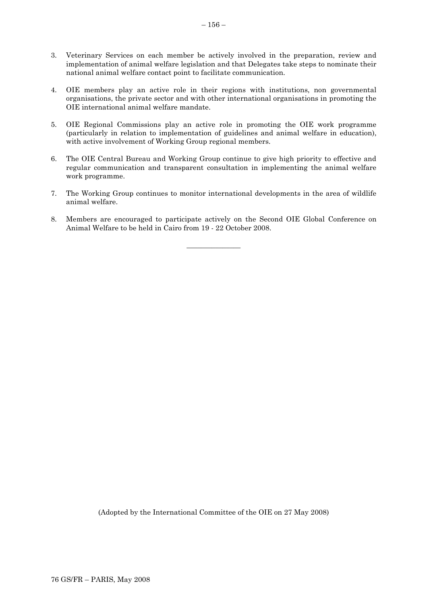- 3. Veterinary Services on each member be actively involved in the preparation, review and implementation of animal welfare legislation and that Delegates take steps to nominate their national animal welfare contact point to facilitate communication.
- 4. OIE members play an active role in their regions with institutions, non governmental organisations, the private sector and with other international organisations in promoting the OIE international animal welfare mandate.
- 5. OIE Regional Commissions play an active role in promoting the OIE work programme (particularly in relation to implementation of guidelines and animal welfare in education), with active involvement of Working Group regional members.
- 6. The OIE Central Bureau and Working Group continue to give high priority to effective and regular communication and transparent consultation in implementing the animal welfare work programme.
- 7. The Working Group continues to monitor international developments in the area of wildlife animal welfare.
- 8. Members are encouraged to participate actively on the Second OIE Global Conference on Animal Welfare to be held in Cairo from 19 - 22 October 2008.

 $\overline{\phantom{a}}$  , where  $\overline{\phantom{a}}$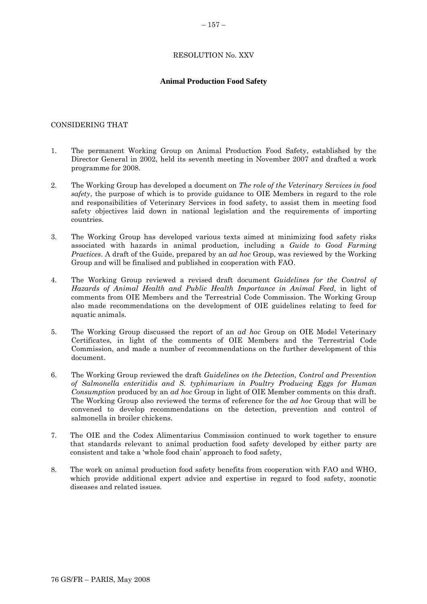# $-157-$

### RESOLUTION No. XXV

### **Animal Production Food Safety**

### <span id="page-34-0"></span>CONSIDERING THAT

- 1. The permanent Working Group on Animal Production Food Safety, established by the Director General in 2002, held its seventh meeting in November 2007 and drafted a work programme for 2008.
- 2. The Working Group has developed a document on *The role of the Veterinary Services in food safety*, the purpose of which is to provide guidance to OIE Members in regard to the role and responsibilities of Veterinary Services in food safety, to assist them in meeting food safety objectives laid down in national legislation and the requirements of importing countries.
- 3. The Working Group has developed various texts aimed at minimizing food safety risks associated with hazards in animal production, including a *Guide to Good Farming Practices*. A draft of the Guide, prepared by an *ad hoc* Group, was reviewed by the Working Group and will be finalised and published in cooperation with FAO.
- 4. The Working Group reviewed a revised draft document *Guidelines for the Control of Hazards of Animal Health and Public Health Importance in Animal Feed,* in light of comments from OIE Members and the Terrestrial Code Commission. The Working Group also made recommendations on the development of OIE guidelines relating to feed for aquatic animals.
- 5. The Working Group discussed the report of an *ad hoc* Group on OIE Model Veterinary Certificates, in light of the comments of OIE Members and the Terrestrial Code Commission, and made a number of recommendations on the further development of this document.
- 6. The Working Group reviewed the draft *Guidelines on the Detection, Control and Prevention of Salmonella enteritidis and S. typhimurium in Poultry Producing Eggs for Human Consumption* produced by an *ad hoc* Group in light of OIE Member comments on this draft. The Working Group also reviewed the terms of reference for the *ad hoc* Group that will be convened to develop recommendations on the detection, prevention and control of salmonella in broiler chickens.
- 7. The OIE and the Codex Alimentarius Commission continued to work together to ensure that standards relevant to animal production food safety developed by either party are consistent and take a 'whole food chain' approach to food safety,
- 8. The work on animal production food safety benefits from cooperation with FAO and WHO, which provide additional expert advice and expertise in regard to food safety, zoonotic diseases and related issues.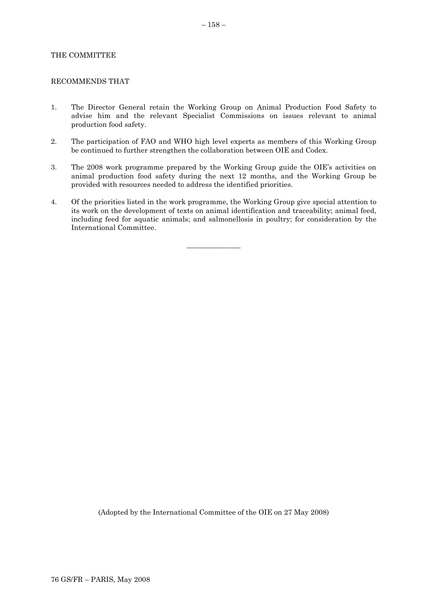#### THE COMMITTEE

#### RECOMMENDS THAT

- 1. The Director General retain the Working Group on Animal Production Food Safety to advise him and the relevant Specialist Commissions on issues relevant to animal production food safety.
- 2. The participation of FAO and WHO high level experts as members of this Working Group be continued to further strengthen the collaboration between OIE and Codex.
- 3. The 2008 work programme prepared by the Working Group guide the OIE's activities on animal production food safety during the next 12 months, and the Working Group be provided with resources needed to address the identified priorities.
- 4. Of the priorities listed in the work programme, the Working Group give special attention to its work on the development of texts on animal identification and traceability; animal feed, including feed for aquatic animals; and salmonellosis in poultry; for consideration by the International Committee.

 $\overline{\phantom{a}}$  , where  $\overline{\phantom{a}}$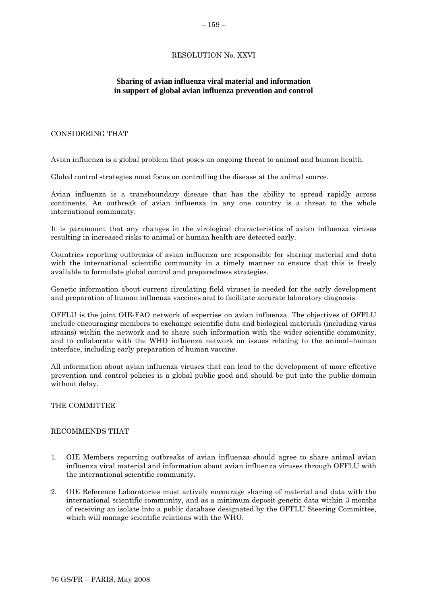# RESOLUTION No. XXVI

# <span id="page-36-0"></span>**Sharing of avian influenza viral material and information in support of global avian influenza prevention and control**

### CONSIDERING THAT

Avian influenza is a global problem that poses an ongoing threat to animal and human health.

Global control strategies must focus on controlling the disease at the animal source.

Avian influenza is a transboundary disease that has the ability to spread rapidly across continents. An outbreak of avian influenza in any one country is a threat to the whole international community.

It is paramount that any changes in the virological characteristics of avian influenza viruses resulting in increased risks to animal or human health are detected early.

Countries reporting outbreaks of avian influenza are responsible for sharing material and data with the international scientific community in a timely manner to ensure that this is freely available to formulate global control and preparedness strategies.

Genetic information about current circulating field viruses is needed for the early development and preparation of human influenza vaccines and to facilitate accurate laboratory diagnosis.

OFFLU is the joint OIE-FAO network of expertise on avian influenza. The objectives of OFFLU include encouraging members to exchange scientific data and biological materials (including virus strains) within the network and to share such information with the wider scientific community, and to collaborate with the WHO influenza network on issues relating to the animal–human interface, including early preparation of human vaccine.

All information about avian influenza viruses that can lead to the development of more effective prevention and control policies is a global public good and should be put into the public domain without delay.

### THE COMMITTEE

### RECOMMENDS THAT

- 1. OIE Members reporting outbreaks of avian influenza should agree to share animal avian influenza viral material and information about avian influenza viruses through OFFLU with the international scientific community.
- 2. OIE Reference Laboratories must actively encourage sharing of material and data with the international scientific community, and as a minimum deposit genetic data within 3 months of receiving an isolate into a public database designated by the OFFLU Steering Committee, which will manage scientific relations with the WHO.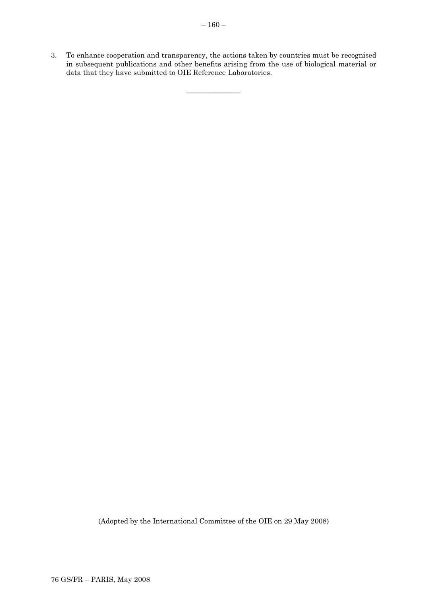3. To enhance cooperation and transparency, the actions taken by countries must be recognised in subsequent publications and other benefits arising from the use of biological material or data that they have submitted to OIE Reference Laboratories.

 $\overline{\phantom{a}}$  , where  $\overline{\phantom{a}}$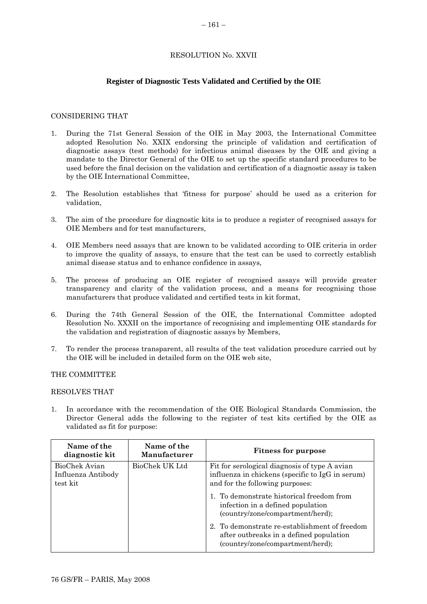### RESOLUTION No. XXVII

### **Register of Diagnostic Tests Validated and Certified by the OIE**

### <span id="page-38-0"></span>CONSIDERING THAT

- 1. During the 71st General Session of the OIE in May 2003, the International Committee adopted Resolution No. XXIX endorsing the principle of validation and certification of diagnostic assays (test methods) for infectious animal diseases by the OIE and giving a mandate to the Director General of the OIE to set up the specific standard procedures to be used before the final decision on the validation and certification of a diagnostic assay is taken by the OIE International Committee,
- 2. The Resolution establishes that 'fitness for purpose' should be used as a criterion for validation,
- 3. The aim of the procedure for diagnostic kits is to produce a register of recognised assays for OIE Members and for test manufacturers,
- 4. OIE Members need assays that are known to be validated according to OIE criteria in order to improve the quality of assays, to ensure that the test can be used to correctly establish animal disease status and to enhance confidence in assays,
- 5. The process of producing an OIE register of recognised assays will provide greater transparency and clarity of the validation process, and a means for recognising those manufacturers that produce validated and certified tests in kit format,
- 6. During the 74th General Session of the OIE, the International Committee adopted Resolution No. XXXII on the importance of recognising and implementing OIE standards for the validation and registration of diagnostic assays by Members,
- 7. To render the process transparent, all results of the test validation procedure carried out by the OIE will be included in detailed form on the OIE web site,

### THE COMMITTEE

### RESOLVES THAT

1. In accordance with the recommendation of the OIE Biological Standards Commission, the Director General adds the following to the register of test kits certified by the OIE as validated as fit for purpose:

| Name of the<br>diagnostic kit                   | Name of the<br>Manufacturer | <b>Fitness for purpose</b>                                                                                                           |
|-------------------------------------------------|-----------------------------|--------------------------------------------------------------------------------------------------------------------------------------|
| BioChek Avian<br>Influenza Antibody<br>test kit | BioChek UK Ltd              | Fit for serological diagnosis of type A avian<br>influenza in chickens (specific to IgG in serum)<br>and for the following purposes: |
|                                                 |                             | 1. To demonstrate historical freedom from<br>infection in a defined population<br>(country/zone/compartment/herd);                   |
|                                                 |                             | 2. To demonstrate re-establishment of freedom<br>after outbreaks in a defined population<br>(country/zone/compartment/herd);         |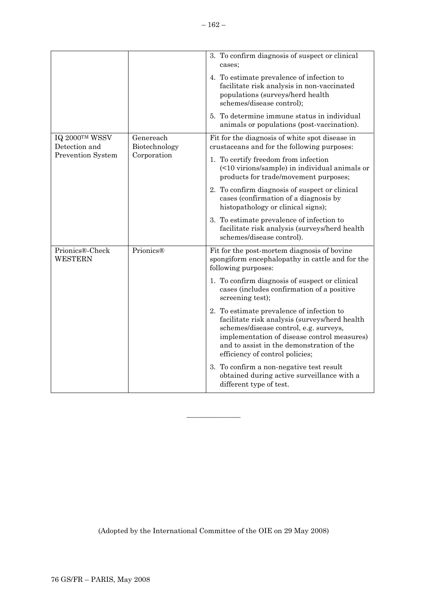|                                                                                  |               | 3. To confirm diagnosis of suspect or clinical<br>cases;                                                                                                                                                                                                            |
|----------------------------------------------------------------------------------|---------------|---------------------------------------------------------------------------------------------------------------------------------------------------------------------------------------------------------------------------------------------------------------------|
|                                                                                  |               | 4. To estimate prevalence of infection to<br>facilitate risk analysis in non-vaccinated<br>populations (surveys/herd health<br>schemes/disease control);                                                                                                            |
|                                                                                  |               | 5. To determine immune status in individual<br>animals or populations (post-vaccination).                                                                                                                                                                           |
| IQ 2000TM WSSV<br>Genereach<br>Detection and<br>Prevention System<br>Corporation | Biotechnology | Fit for the diagnosis of white spot disease in<br>crustaceans and for the following purposes:                                                                                                                                                                       |
|                                                                                  |               | 1. To certify freedom from infection<br>(<10 virions/sample) in individual animals or<br>products for trade/movement purposes;                                                                                                                                      |
|                                                                                  |               | 2. To confirm diagnosis of suspect or clinical<br>cases (confirmation of a diagnosis by<br>histopathology or clinical signs);                                                                                                                                       |
|                                                                                  |               | 3. To estimate prevalence of infection to<br>facilitate risk analysis (surveys/herd health<br>schemes/disease control).                                                                                                                                             |
| Prionics®-Check<br><b>WESTERN</b>                                                | Prionics®     | Fit for the post-mortem diagnosis of bovine<br>spongiform encephalopathy in cattle and for the<br>following purposes:                                                                                                                                               |
|                                                                                  |               | 1. To confirm diagnosis of suspect or clinical<br>cases (includes confirmation of a positive<br>screening test);                                                                                                                                                    |
|                                                                                  |               | 2. To estimate prevalence of infection to<br>facilitate risk analysis (surveys/herd health<br>schemes/disease control, e.g. surveys,<br>implementation of disease control measures)<br>and to assist in the demonstration of the<br>efficiency of control policies; |
|                                                                                  |               | 3. To confirm a non-negative test result<br>obtained during active surveillance with a<br>different type of test.                                                                                                                                                   |

(Adopted by the International Committee of the OIE on 29 May 2008)

 $\overline{\phantom{a}}$  , where  $\overline{\phantom{a}}$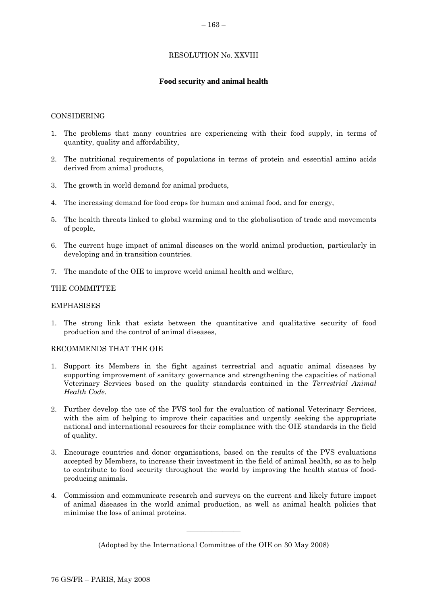# RESOLUTION No. XXVIII

# **Food security and animal health**

### <span id="page-40-0"></span>CONSIDERING

- 1. The problems that many countries are experiencing with their food supply, in terms of quantity, quality and affordability,
- 2. The nutritional requirements of populations in terms of protein and essential amino acids derived from animal products,
- 3. The growth in world demand for animal products,
- 4. The increasing demand for food crops for human and animal food, and for energy,
- 5. The health threats linked to global warming and to the globalisation of trade and movements of people,
- 6. The current huge impact of animal diseases on the world animal production, particularly in developing and in transition countries.
- 7. The mandate of the OIE to improve world animal health and welfare,

### THE COMMITTEE

### EMPHASISES

1. The strong link that exists between the quantitative and qualitative security of food production and the control of animal diseases,

### RECOMMENDS THAT THE OIE

- 1. Support its Members in the fight against terrestrial and aquatic animal diseases by supporting improvement of sanitary governance and strengthening the capacities of national Veterinary Services based on the quality standards contained in the *Terrestrial Animal Health Code.*
- 2. Further develop the use of the PVS tool for the evaluation of national Veterinary Services, with the aim of helping to improve their capacities and urgently seeking the appropriate national and international resources for their compliance with the OIE standards in the field of quality.
- 3. Encourage countries and donor organisations, based on the results of the PVS evaluations accepted by Members, to increase their investment in the field of animal health, so as to help to contribute to food security throughout the world by improving the health status of foodproducing animals.
- 4. Commission and communicate research and surveys on the current and likely future impact of animal diseases in the world animal production, as well as animal health policies that minimise the loss of animal proteins.

(Adopted by the International Committee of the OIE on 30 May 2008)

 $\overline{\phantom{a}}$  , where  $\overline{\phantom{a}}$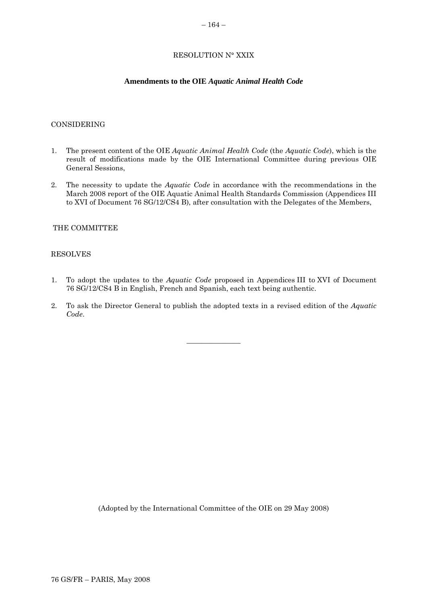# RESOLUTION N° XXIX

### **Amendments to the OIE** *Aquatic Animal Health Code*

#### <span id="page-41-0"></span>CONSIDERING

- 1. The present content of the OIE *Aquatic Animal Health Code* (the *Aquatic Code*), which is the result of modifications made by the OIE International Committee during previous OIE General Sessions,
- 2. The necessity to update the *Aquatic Code* in accordance with the recommendations in the March 2008 report of the OIE Aquatic Animal Health Standards Commission (Appendices III to XVI of Document 76 SG/12/CS4 B), after consultation with the Delegates of the Members,

### THE COMMITTEE

#### RESOLVES

- 1. To adopt the updates to the *Aquatic Code* proposed in Appendices III to XVI of Document 76 SG/12/CS4 B in English, French and Spanish, each text being authentic.
- 2. To ask the Director General to publish the adopted texts in a revised edition of the *Aquatic Code*.

 $\overline{\phantom{a}}$  , where  $\overline{\phantom{a}}$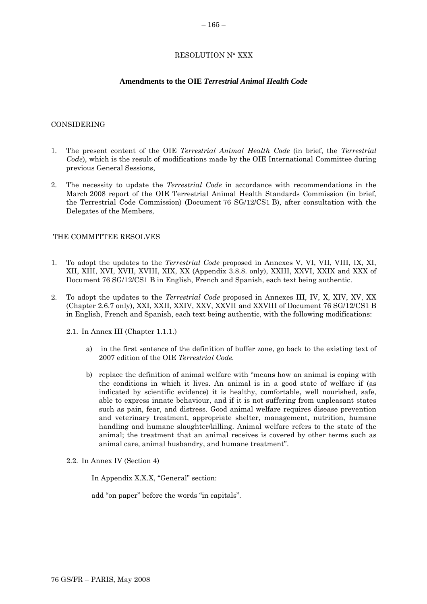### RESOLUTION N° XXX

### **Amendments to the OIE** *Terrestrial Animal Health Code*

#### <span id="page-42-0"></span>CONSIDERING

- 1. The present content of the OIE *Terrestrial Animal Health Code* (in brief, the *Terrestrial Code*), which is the result of modifications made by the OIE International Committee during previous General Sessions,
- 2. The necessity to update the *Terrestrial Code* in accordance with recommendations in the March 2008 report of the OIE Terrestrial Animal Health Standards Commission (in brief, the Terrestrial Code Commission) (Document 76 SG/12/CS1 B), after consultation with the Delegates of the Members,

### THE COMMITTEE RESOLVES

- 1. To adopt the updates to the *Terrestrial Code* proposed in Annexes V, VI, VII, VIII, IX, XI, XII, XIII, XVI, XVII, XVIII, XIX, XX (Appendix 3.8.8. only), XXIII, XXVI, XXIX and XXX of Document 76 SG/12/CS1 B in English, French and Spanish, each text being authentic.
- 2. To adopt the updates to the *Terrestrial Code* proposed in Annexes III, IV, X, XIV, XV, XX (Chapter 2.6.7 only), XXI, XXII, XXIV, XXV, XXVII and XXVIII of Document 76 SG/12/CS1 B in English, French and Spanish, each text being authentic, with the following modifications:
	- 2.1. In Annex III (Chapter 1.1.1.)
		- a) in the first sentence of the definition of buffer zone, go back to the existing text of 2007 edition of the OIE *Terrestrial Code.*
		- b) replace the definition of animal welfare with "means how an animal is coping with the conditions in which it lives. An animal is in a good state of welfare if (as indicated by scientific evidence) it is healthy, comfortable, well nourished, safe, able to express innate behaviour, and if it is not suffering from unpleasant states such as pain, fear, and distress. Good animal welfare requires disease prevention and veterinary treatment, appropriate shelter, management, nutrition, humane handling and humane slaughter/killing. Animal welfare refers to the state of the animal; the treatment that an animal receives is covered by other terms such as animal care, animal husbandry, and humane treatment".
	- 2.2. In Annex IV (Section 4)

In Appendix X.X.X, "General" section:

add "on paper" before the words "in capitals".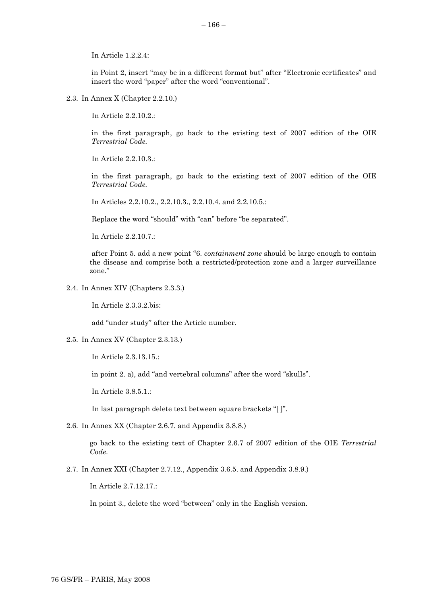In Article 1.2.2.4:

in Point 2, insert "may be in a different format but" after "Electronic certificates" and insert the word "paper" after the word "conventional".

2.3. In Annex X (Chapter 2.2.10.)

In Article 2.2.10.2.:

in the first paragraph, go back to the existing text of 2007 edition of the OIE *Terrestrial Code.*

In Article 2.2.10.3.:

in the first paragraph, go back to the existing text of 2007 edition of the OIE *Terrestrial Code.*

In Articles 2.2.10.2., 2.2.10.3., 2.2.10.4. and 2.2.10.5.:

Replace the word "should" with "can" before "be separated".

In Article 2.2.10.7.:

after Point 5. add a new point "6. *containment zone* should be large enough to contain the disease and comprise both a restricted/protection zone and a larger surveillance zone."

2.4. In Annex XIV (Chapters 2.3.3.)

In Article 2.3.3.2.bis:

add "under study" after the Article number.

2.5. In Annex XV (Chapter 2.3.13.)

In Article 2.3.13.15.:

in point 2. a), add "and vertebral columns" after the word "skulls".

In Article 3.8.5.1.:

In last paragraph delete text between square brackets "[ ]".

2.6. In Annex XX (Chapter 2.6.7. and Appendix 3.8.8.)

go back to the existing text of Chapter 2.6.7 of 2007 edition of the OIE *Terrestrial Code*.

2.7. In Annex XXI (Chapter 2.7.12., Appendix 3.6.5. and Appendix 3.8.9.)

In Article 2.7.12.17.:

In point 3., delete the word "between" only in the English version.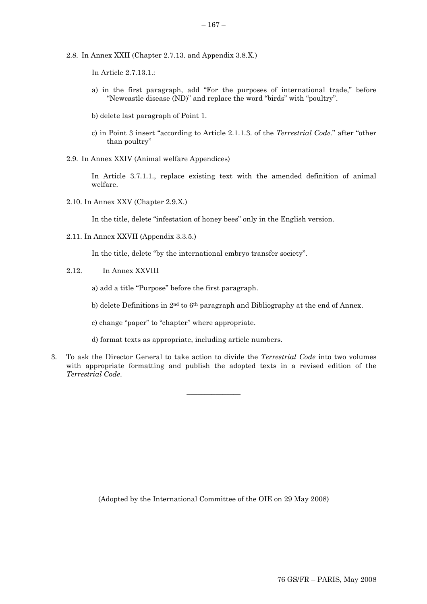- 2.8. In Annex XXII (Chapter 2.7.13. and Appendix 3.8.X.)
	- In Article 2.7.13.1.:
	- a) in the first paragraph, add "For the purposes of international trade," before "Newcastle disease (ND)" and replace the word "birds" with "poultry".
	- b) delete last paragraph of Point 1.
	- c) in Point 3 insert "according to Article 2.1.1.3. of the *Terrestrial Code.*" after "other than poultry"
- 2.9. In Annex XXIV (Animal welfare Appendices)

In Article 3.7.1.1., replace existing text with the amended definition of animal welfare.

2.10. In Annex XXV (Chapter 2.9.X.)

In the title, delete "infestation of honey bees" only in the English version.

2.11. In Annex XXVII (Appendix 3.3.5.)

In the title, delete "by the international embryo transfer society".

2.12. In Annex XXVIII

a) add a title "Purpose" before the first paragraph.

- b) delete Definitions in 2<sup>nd</sup> to 6<sup>th</sup> paragraph and Bibliography at the end of Annex.
- c) change "paper" to "chapter" where appropriate.
- d) format texts as appropriate, including article numbers.
- 3. To ask the Director General to take action to divide the *Terrestrial Code* into two volumes with appropriate formatting and publish the adopted texts in a revised edition of the *Terrestrial Code*.

 $\overline{\phantom{a}}$  , where  $\overline{\phantom{a}}$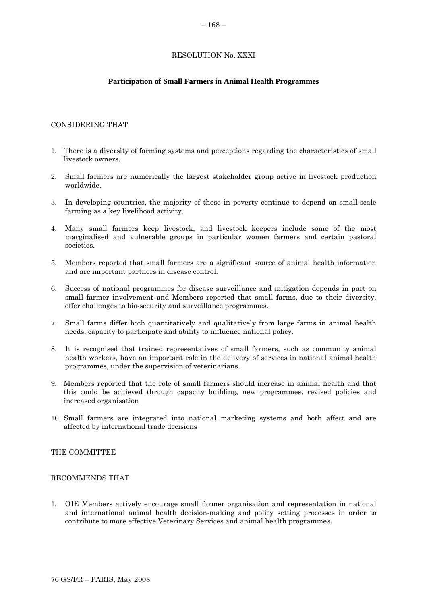### RESOLUTION No. XXXI

### **Participation of Small Farmers in Animal Health Programmes**

#### <span id="page-45-0"></span>CONSIDERING THAT

- 1. There is a diversity of farming systems and perceptions regarding the characteristics of small livestock owners.
- 2. Small farmers are numerically the largest stakeholder group active in livestock production worldwide.
- 3. In developing countries, the majority of those in poverty continue to depend on small-scale farming as a key livelihood activity.
- 4. Many small farmers keep livestock, and livestock keepers include some of the most marginalised and vulnerable groups in particular women farmers and certain pastoral societies.
- 5. Members reported that small farmers are a significant source of animal health information and are important partners in disease control.
- 6. Success of national programmes for disease surveillance and mitigation depends in part on small farmer involvement and Members reported that small farms, due to their diversity, offer challenges to bio-security and surveillance programmes.
- 7. Small farms differ both quantitatively and qualitatively from large farms in animal health needs, capacity to participate and ability to influence national policy.
- 8. It is recognised that trained representatives of small farmers, such as community animal health workers, have an important role in the delivery of services in national animal health programmes, under the supervision of veterinarians.
- 9. Members reported that the role of small farmers should increase in animal health and that this could be achieved through capacity building, new programmes, revised policies and increased organisation
- 10. Small farmers are integrated into national marketing systems and both affect and are affected by international trade decisions

#### THE COMMITTEE

#### RECOMMENDS THAT

1. OIE Members actively encourage small farmer organisation and representation in national and international animal health decision-making and policy setting processes in order to contribute to more effective Veterinary Services and animal health programmes.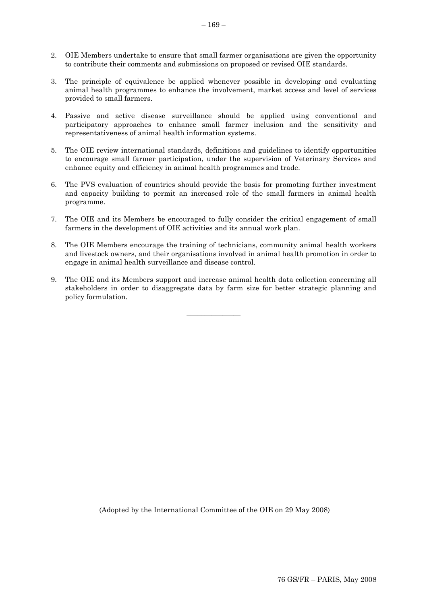- 2. OIE Members undertake to ensure that small farmer organisations are given the opportunity to contribute their comments and submissions on proposed or revised OIE standards.
- 3. The principle of equivalence be applied whenever possible in developing and evaluating animal health programmes to enhance the involvement, market access and level of services provided to small farmers.
- 4. Passive and active disease surveillance should be applied using conventional and participatory approaches to enhance small farmer inclusion and the sensitivity and representativeness of animal health information systems.
- 5. The OIE review international standards, definitions and guidelines to identify opportunities to encourage small farmer participation, under the supervision of Veterinary Services and enhance equity and efficiency in animal health programmes and trade.
- 6. The PVS evaluation of countries should provide the basis for promoting further investment and capacity building to permit an increased role of the small farmers in animal health programme.
- 7. The OIE and its Members be encouraged to fully consider the critical engagement of small farmers in the development of OIE activities and its annual work plan.
- 8. The OIE Members encourage the training of technicians, community animal health workers and livestock owners, and their organisations involved in animal health promotion in order to engage in animal health surveillance and disease control.
- 9. The OIE and its Members support and increase animal health data collection concerning all stakeholders in order to disaggregate data by farm size for better strategic planning and policy formulation.

 $\overline{\phantom{a}}$  , where  $\overline{\phantom{a}}$